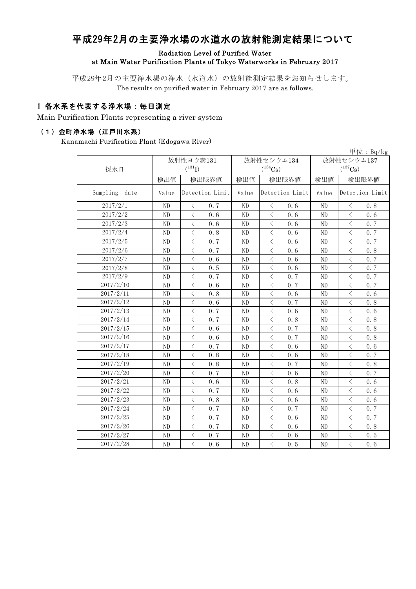# 平成29年2月の主要浄水場の水道水の放射能測定結果について

### Radiation Level of Purified Water at Main Water Purification Plants of Tokyo Waterworks in February 2017

平成29年2月の主要浄水場の浄水(水道水)の放射能測定結果をお知らせします。 The results on purified water in February 2017 are as follows.

### 1 各水系を代表する浄水場:毎日測定

Main Purification Plants representing a river system

#### (1)金町浄水場(江戸川水系)

Kanamachi Purification Plant (Edogawa River)

|                  |                |                                                 |                |                                                 |                | 単位: $Bq/kg$                                     |  |
|------------------|----------------|-------------------------------------------------|----------------|-------------------------------------------------|----------------|-------------------------------------------------|--|
|                  |                | 放射性ヨウ素131                                       |                | 放射性セシウム134                                      | 放射性セシウム137     |                                                 |  |
| 採水日              |                | $(^{131}I)$                                     |                | $(^{134}Cs)$                                    |                | $(^{137}\mathrm{Cs})$                           |  |
|                  | 検出値            | 検出限界値                                           | 検出値            | 検出限界値                                           | 検出値            | 検出限界値                                           |  |
| Sampling<br>date | Value          | Detection Limit                                 | Value          | Detection Limit                                 | Value          | Detection Limit                                 |  |
| 2017/2/1         | ND             | $\langle$<br>0.7                                | ND             | $\lt$<br>0.6                                    | N <sub>D</sub> | $\langle$<br>0.8                                |  |
| 2017/2/2         | ND             | $\langle$<br>0.6                                | ND             | $\langle$<br>0.6                                | N <sub>D</sub> | $\langle$<br>0.6                                |  |
| 2017/2/3         | N <sub>D</sub> | $\langle$<br>0.6                                | N <sub>D</sub> | $\langle$<br>0.6                                | N <sub>D</sub> | $\langle$<br>0.7                                |  |
| 2017/2/4         | ND             | $\langle$<br>0.8                                | ND             | $\langle$<br>0.6                                | ND             | $\overline{\left\langle \right\rangle }$<br>0.7 |  |
| 2017/2/5         | ND             | $\langle$<br>0.7                                | ND             | $\, <\,$<br>0.6                                 | ND             | $\lt$<br>0.7                                    |  |
| 2017/2/6         | ND             | $\langle$<br>0.7                                | ND             | $\langle$<br>0.6                                | ND             | $\langle$<br>0.8                                |  |
| 2017/2/7         | ND             | $\langle$<br>0.6                                | ND             | $\lt$<br>0.6                                    | ND             | $\langle$<br>0.7                                |  |
| 2017/2/8         | N <sub>D</sub> | $\langle$<br>0.5                                | ND             | $\langle$<br>0.6                                | N <sub>D</sub> | $\overline{\left\langle \right\rangle }$<br>0.7 |  |
| 2017/2/9         | ND             | $\langle$<br>0.7                                | ND             | $\langle$<br>0.7                                | ND             | $\lt$<br>0.7                                    |  |
| 2017/2/10        | ND             | $\, <\,$<br>0.6                                 | ND             | $\lt$<br>0.7                                    | N <sub>D</sub> | $\lt$<br>0.7                                    |  |
| 2017/2/11        | ND             | $\langle$<br>0.8                                | ND             | $\langle$<br>0.6                                | N <sub>D</sub> | $\,<\,$<br>0.6                                  |  |
| 2017/2/12        | ND             | $\, <\,$<br>0.6                                 | $\rm ND$       | $\, <\,$<br>0.7                                 | N <sub>D</sub> | $\, <\,$<br>0.8                                 |  |
| 2017/2/13        | N <sub>D</sub> | $\langle$<br>0.7                                | N <sub>D</sub> | $\lt$<br>0.6                                    | N <sub>D</sub> | $\,$ $\,$ $\,$<br>0.6                           |  |
| 2017/2/14        | ND             | $\langle$<br>0.7                                | ND             | $\lt$<br>0.8                                    | N <sub>D</sub> | $\overline{\left\langle \right\rangle }$<br>0.8 |  |
| 2017/2/15        | ND             | $\overline{\left\langle \right\rangle }$<br>0.6 | ND             | $\,$ $\,$ $\,$<br>0.7                           | N <sub>D</sub> | $\overline{\left\langle \right\rangle }$<br>0.8 |  |
| 2017/2/16        | ND             | $\, \zeta \,$<br>0.6                            | ND             | $\, <\,$<br>0.7                                 | ND             | $\lt$<br>0.8                                    |  |
| 2017/2/17        | ND             | $\langle$<br>0.7                                | $\rm ND$       | $\langle$<br>0.6                                | ND             | $\langle$<br>0.6                                |  |
| 2017/2/18        | ND             | $\langle$<br>0.8                                | ND             | $\langle$<br>0.6                                | ND             | $\langle$<br>0.7                                |  |
| 2017/2/19        | N <sub>D</sub> | $\,$ $\,$ $\,$<br>0.8                           | N <sub>D</sub> | $\langle$<br>0.7                                | N <sub>D</sub> | $\,<\,$<br>0.8                                  |  |
| 2017/2/20        | ND             | $\hspace{0.5cm} <$<br>0.7                       | N <sub>D</sub> | $\langle$<br>0.6                                | N <sub>D</sub> | $\lt$<br>0.7                                    |  |
| 2017/2/21        | ND             | $\hspace{0.5cm} <$<br>0.6                       | ND             | $\, <\,$<br>0.8                                 | N <sub>D</sub> | $\, <\,$<br>0.6                                 |  |
| 2017/2/22        | N <sub>D</sub> | $\langle$<br>0.7                                | N <sub>D</sub> | $\langle$<br>0.6                                | N <sub>D</sub> | $\langle$<br>0.6                                |  |
| 2017/2/23        | ND             | $\langle$<br>0.8                                | N <sub>D</sub> | $\langle$<br>0.6                                | N <sub>D</sub> | $\,$ $\,$ $\,$<br>0.6                           |  |
| 2017/2/24        | ND             | $\overline{\left\langle \right\rangle }$<br>0.7 | ND             | $\overline{\left\langle \right\rangle }$<br>0.7 | N <sub>D</sub> | $\overline{\left\langle \right\rangle }$<br>0.7 |  |
| 2017/2/25        | ND             | $\langle$<br>0.7                                | N <sub>D</sub> | $\langle$<br>0.6                                | ND             | $\langle$<br>0.7                                |  |
| 2017/2/26        | ND             | $\langle$<br>0.7                                | ND             | $\langle$<br>0.6                                | ND             | $\langle$<br>0.8                                |  |
| 2017/2/27        | N <sub>D</sub> | $\langle$<br>0.7                                | ND             | $\lt$<br>0.6                                    | N <sub>D</sub> | $\lt$<br>0.5                                    |  |
| 2017/2/28        | ND             | $\overline{\left\langle \right\rangle }$<br>0.6 | ND             | $\langle$<br>0.5                                | ND             | $\langle$<br>0.6                                |  |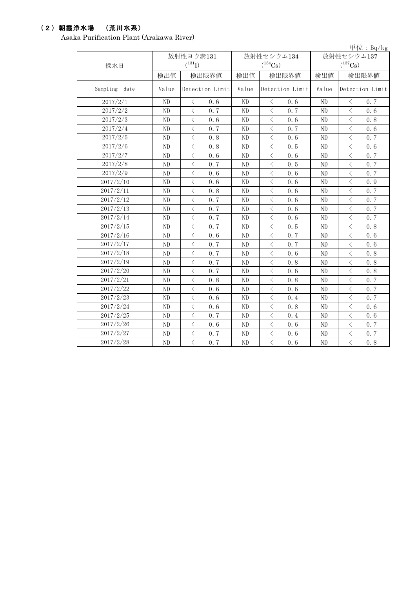### (2)朝霞浄水場 (荒川水系)

Asaka Purification Plant (Arakawa River)

|               |                |                                                 |                |                  |                | 単位: $Bq/kg$                                     |  |
|---------------|----------------|-------------------------------------------------|----------------|------------------|----------------|-------------------------------------------------|--|
|               |                | 放射性ヨウ素131                                       |                | 放射性セシウム134       | 放射性セシウム137     |                                                 |  |
| 採水日           |                | $(^{131}I)$                                     |                | $(^{134}Cs)$     | $(^{137}Cs)$   |                                                 |  |
|               | 検出値            | 検出限界値                                           | 検出値            | 検出限界値            | 検出値            | 検出限界値                                           |  |
| Sampling date | Value          | Detection Limit                                 | Value          | Detection Limit  | Value          | Detection Limit                                 |  |
| 2017/2/1      | ND             | $\langle$<br>0.6                                | ND             | 0.6<br>$\langle$ | ND             | $\, <\,$<br>0.7                                 |  |
| 2017/2/2      | ND             | $\overline{\left\langle \right\rangle }$<br>0.7 | ND             | $\langle$<br>0.7 | ND             | $\langle$<br>0.6                                |  |
| 2017/2/3      | N <sub>D</sub> | $\lt$<br>0.6                                    | N <sub>D</sub> | $\lt$<br>0.6     | N <sub>D</sub> | $\lt$<br>0.8                                    |  |
| 2017/2/4      | ND             | $\langle$<br>0.7                                | ND             | 0.7<br>$\langle$ | N <sub>D</sub> | $\langle$<br>0.6                                |  |
| 2017/2/5      | N <sub>D</sub> | $\langle$<br>0.8                                | ND             | $\langle$<br>0.6 | ND             | $\langle$<br>0.7                                |  |
| 2017/2/6      | ND             | $\lt$<br>0.8                                    | ND             | $\lt$<br>0.5     | ND             | $\lt$<br>0.6                                    |  |
| 2017/2/7      | N <sub>D</sub> | $\langle$<br>0.6                                | N <sub>D</sub> | $\,<$<br>0.6     | ND             | $\overline{\left\langle \right\rangle }$<br>0.7 |  |
| 2017/2/8      | ND             | $\lt$<br>0.7                                    | ND             | $\langle$<br>0.5 | ND             | $\langle$<br>0.7                                |  |
| 2017/2/9      | N <sub>D</sub> | $\lt$<br>0.6                                    | N <sub>D</sub> | $\langle$<br>0.6 | N <sub>D</sub> | $\langle$<br>0.7                                |  |
| 2017/2/10     | N <sub>D</sub> | $\langle$<br>0.6                                | ND             | $\langle$<br>0.6 | N <sub>D</sub> | $\langle$<br>0.9                                |  |
| 2017/2/11     | N <sub>D</sub> | $\lt$<br>0.8                                    | ND             | $\langle$<br>0.6 | N <sub>D</sub> | $\langle$<br>0.7                                |  |
| 2017/2/12     | ND             | $\langle$<br>0.7                                | ND             | $\langle$<br>0.6 | ND             | $\lt$<br>0.7                                    |  |
| 2017/2/13     | ND             | $\langle$<br>0.7                                | ND             | $\langle$<br>0.6 | ND             | $\langle$<br>0.7                                |  |
| 2017/2/14     | N <sub>D</sub> | $\lt$<br>0.7                                    | ND             | $\langle$<br>0.6 | ND             | $\lt$<br>0.7                                    |  |
| 2017/2/15     | N <sub>D</sub> | $\lt$<br>0.7                                    | ND             | $\langle$<br>0.5 | N <sub>D</sub> | $\langle$<br>0.8                                |  |
| 2017/2/16     | ND             | $\lt$<br>0.6                                    | ND             | $\langle$<br>0.7 | N <sub>D</sub> | $\langle$<br>0.6                                |  |
| 2017/2/17     | ND             | $\lt$<br>0.7                                    | ND             | $\langle$<br>0.7 | N <sub>D</sub> | $\langle$<br>0.6                                |  |
| 2017/2/18     | ND             | $\lt$<br>0.7                                    | ND             | $\lt$<br>0.6     | N <sub>D</sub> | $\lt$<br>0.8                                    |  |
| 2017/2/19     | N <sub>D</sub> | $\overline{\left\langle \right\rangle }$<br>0.7 | ND             | $\langle$<br>0.8 | N <sub>D</sub> | $\langle$<br>0.8                                |  |
| 2017/2/20     | N <sub>D</sub> | $\lt$<br>0.7                                    | N <sub>D</sub> | $\langle$<br>0.6 | N <sub>D</sub> | $\lt$<br>0.8                                    |  |
| 2017/2/21     | N <sub>D</sub> | $\langle$<br>0.8                                | N <sub>D</sub> | $\langle$<br>0.8 | N <sub>D</sub> | $\langle$<br>0.7                                |  |
| 2017/2/22     | ND             | $\langle$<br>0.6                                | ND             | $\langle$<br>0.6 | ND             | $\lt$<br>0.7                                    |  |
| 2017/2/23     | ND             | $\lt$<br>0.6                                    | ND             | $\lt$<br>0.4     | N <sub>D</sub> | $\langle$<br>0.7                                |  |
| 2017/2/24     | ND             | $\lt$<br>0.6                                    | ND             | $\langle$<br>0.8 | N <sub>D</sub> | $\langle$<br>0.6                                |  |
| 2017/2/25     | ND             | $\overline{\left\langle \right\rangle }$<br>0.7 | ND             | $\langle$<br>0.4 | N <sub>D</sub> | $\langle$<br>0.6                                |  |
| 2017/2/26     | N <sub>D</sub> | $\lt$<br>0.6                                    | ND             | $\langle$<br>0.6 | N <sub>D</sub> | $\langle$<br>0.7                                |  |
| 2017/2/27     | ND             | $\lt$<br>0.7                                    | ND             | $\lt$<br>0.6     | N <sub>D</sub> | $\, <\,$<br>0, 7                                |  |
| 2017/2/28     | ND             | $\langle$<br>0.7                                | ND             | $\langle$<br>0.6 | N <sub>D</sub> | $\overline{\left\langle \right\rangle }$<br>0.8 |  |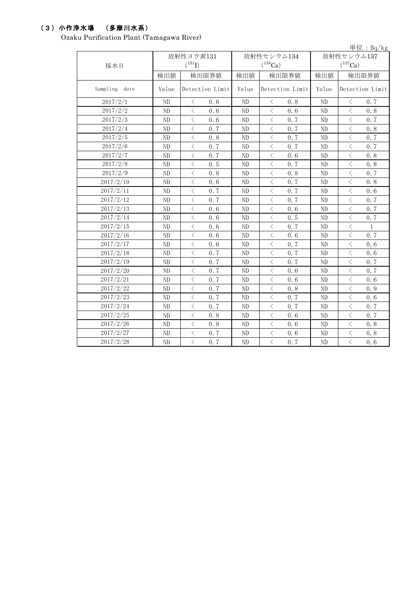# (3)小作浄水場 (多摩川水系)

Ozaku Purification Plant (Tamagawa River)

|               |                |                                                 |                |                  |                | 単位: $Bq/kg$                                     |  |
|---------------|----------------|-------------------------------------------------|----------------|------------------|----------------|-------------------------------------------------|--|
|               |                | 放射性ヨウ素131                                       |                | 放射性セシウム134       | 放射性セシウム137     |                                                 |  |
| 採水日           |                | $(^{131}I)$                                     |                | $(^{134}Cs)$     | $(^{137}Cs)$   |                                                 |  |
|               | 検出値            | 検出限界値                                           | 検出値            | 検出限界値            | 検出値            | 検出限界値                                           |  |
| Sampling date | Value          | Detection Limit                                 | Value          | Detection Limit  | Value          | Detection Limit                                 |  |
| 2017/2/1      | ND             | $\lt$<br>0.6                                    | ND             | $\lt$<br>0.8     | N <sub>D</sub> | $\lt$<br>0, 7                                   |  |
| 2017/2/2      | ND             | $\langle$<br>0.6                                | ND             | $\langle$<br>0.6 | ND             | $\langle$<br>0.8                                |  |
| 2017/2/3      | ND             | $\langle$<br>0.6                                | ND             | $\langle$<br>0.7 | ND             | $\langle$<br>0.7                                |  |
| 2017/2/4      | N <sub>D</sub> | 0.7<br>$\langle$                                | ND             | 0.7<br>$\lt$     | N <sub>D</sub> | $\langle$<br>0.8                                |  |
| 2017/2/5      | ND             | $\langle$<br>0.8                                | ND             | $\langle$<br>0.7 | N <sub>D</sub> | $\langle$<br>0.7                                |  |
| 2017/2/6      | ND             | $\langle$<br>0.7                                | ND             | $\langle$<br>0.7 | ND             | $\langle$<br>0.7                                |  |
| 2017/2/7      | ${\rm ND}$     | $\langle$<br>0.7                                | ND             | $\langle$<br>0.6 | ND             | $\langle$<br>0.8                                |  |
| 2017/2/8      | ND             | $\, <\,$<br>0.5                                 | ND             | $\lt$<br>0.7     | ND             | $\langle$<br>0.8                                |  |
| 2017/2/9      | ND             | $\, \zeta \,$<br>0.8                            | N <sub>D</sub> | $\lt$<br>0.8     | N <sub>D</sub> | $\, \zeta \,$<br>0, 7                           |  |
| 2017/2/10     | ND             | $\langle$<br>0.6                                | ND             | $\langle$<br>0.7 | ND             | $\langle$<br>0.8                                |  |
| 2017/2/11     | ND             | $\langle$<br>0.7                                | ND             | $\langle$<br>0.7 | ND             | $\lt$<br>0.6                                    |  |
| 2017/2/12     | ND             | $\,<\,$<br>0.7                                  | ND             | $\langle$<br>0.7 | ND             | $\langle$<br>0.7                                |  |
| 2017/2/13     | ND             | $\langle$<br>0.6                                | ND             | $\langle$<br>0.6 | ND             | $\langle$<br>0.7                                |  |
| 2017/2/14     | ND             | $\langle$<br>0.6                                | N <sub>D</sub> | $\langle$<br>0.5 | ND             | $\langle$<br>0.7                                |  |
| 2017/2/15     | ND             | $\langle$<br>0.6                                | N <sub>D</sub> | 0.7<br>$\langle$ | N <sub>D</sub> | $\langle$<br>$\mathbf{1}$                       |  |
| 2017/2/16     | ND             | $\langle$<br>0.6                                | $\rm ND$       | $\langle$<br>0.6 | ND             | $\langle$<br>0.7                                |  |
| 2017/2/17     | ND             | $\langle$<br>0.6                                | ND             | $\langle$<br>0.7 | ND             | $\,<\,$<br>0.6                                  |  |
| 2017/2/18     | ND             | $\langle$<br>0.7                                | ND             | $\langle$<br>0.7 | ND             | $\langle$<br>0.6                                |  |
| 2017/2/19     | ND             | $\overline{\left\langle \right\rangle }$<br>0.7 | $\rm ND$       | $\langle$<br>0.7 | ND             | $\overline{\left\langle \right\rangle }$<br>0.7 |  |
| 2017/2/20     | ND             | $\lt$<br>0, 7                                   | ND             | $\lt$<br>0.6     | ND             | $\lt$<br>0.7                                    |  |
| 2017/2/21     | ND             | 0.7<br>$\langle$                                | ND             | $\langle$<br>0.6 | ND             | $\langle$<br>0.6                                |  |
| 2017/2/22     | ND             | $\langle$<br>0.7                                | ND             | $\langle$<br>0.8 | ND             | $\langle$<br>0.9                                |  |
| 2017/2/23     | ND             | $\langle$<br>0.7                                | ND             | $\langle$<br>0.7 | ND             | $\,<\,$<br>0.6                                  |  |
| 2017/2/24     | ND             | $\langle$<br>0.7                                | N <sub>D</sub> | $\langle$<br>0.7 | N <sub>D</sub> | $\,$ $\,$ $\,$<br>0.7                           |  |
| 2017/2/25     | ND             | $\langle$<br>0.8                                | ND             | $\langle$<br>0.6 | N <sub>D</sub> | $\langle$<br>0.7                                |  |
| 2017/2/26     | ND             | $\, \zeta \,$<br>0.8                            | ND             | $\, <\,$<br>0.6  | ND             | $\, <\,$<br>0.8                                 |  |
| 2017/2/27     | ND             | $\langle$<br>0.7                                | ND             | $\lt$<br>0.6     | ${\rm ND}$     | $\langle$<br>0.8                                |  |
| 2017/2/28     | ${\rm ND}$     | $\,$ $\,$ $\,$<br>0.7                           | N <sub>D</sub> | $\langle$<br>0.7 | ND             | $\,$ $\,$ $\,$<br>0.6                           |  |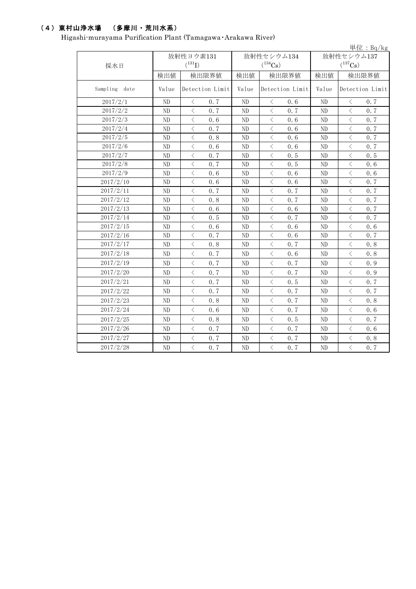# (4)東村山浄水場 (多摩川・荒川水系)

Higashi-murayama Purification Plant (Tamagawa・Arakawa River)

|               |                |                                          |     |              |                                          |       |                |                                                                                                                                                                              | 単位: $Bq/kg$ |
|---------------|----------------|------------------------------------------|-----|--------------|------------------------------------------|-------|----------------|------------------------------------------------------------------------------------------------------------------------------------------------------------------------------|-------------|
|               | 放射性ヨウ素131      |                                          |     |              | 放射性セシウム134                               |       | 放射性セシウム137     |                                                                                                                                                                              |             |
| 採水日           |                | $(^{131}I)$                              |     | $(^{134}Cs)$ |                                          |       |                | $(^{137}Cs)$                                                                                                                                                                 |             |
|               | 検出値            | 検出限界値                                    |     | 検出値          |                                          | 検出限界値 | 検出値            | 検出限界値                                                                                                                                                                        |             |
| Sampling date | Value          | Detection Limit                          |     | Value        | Detection Limit                          |       | Value          | Detection Limit                                                                                                                                                              |             |
| 2017/2/1      | ND             | $\langle$                                | 0.7 | ND           | $\lt$                                    | 0.6   | ND             | $\lt$                                                                                                                                                                        | 0.7         |
| 2017/2/2      | $\rm ND$       | $\overline{\langle}$                     | 0.7 | ND           | $\langle$                                | 0.7   | ND             | $\overline{\langle}$                                                                                                                                                         | 0.7         |
| 2017/2/3      | ND             | $\langle$                                | 0.6 | ND           | $\langle$                                | 0.6   | N <sub>D</sub> | $\langle$                                                                                                                                                                    | 0.7         |
| 2017/2/4      | ND             | $\langle$                                | 0.7 | $\rm ND$     | $\lt$                                    | 0.6   | N <sub>D</sub> | $\, <\,$                                                                                                                                                                     | 0.7         |
| 2017/2/5      | N <sub>D</sub> | $\langle$                                | 0.8 | ND           | $\langle$                                | 0.6   | N <sub>D</sub> | $\langle$                                                                                                                                                                    | 0.7         |
| 2017/2/6      | ND             | $\, <\,$                                 | 0.6 | $\rm ND$     | $\langle$                                | 0.6   | N <sub>D</sub> | $\langle$                                                                                                                                                                    | 0.7         |
| 2017/2/7      | ND             | $\langle$                                | 0.7 | ND           | $\langle$                                | 0.5   | ND             | $\lt$                                                                                                                                                                        | 0.5         |
| 2017/2/8      | $\rm ND$       | $\,$ $\,$ $\,$                           | 0.7 | ND           | $\overline{\left\langle \right\rangle }$ | 0.5   | N <sub>D</sub> | $\,$ $\,$ $\,$                                                                                                                                                               | 0.6         |
| 2017/2/9      | ND             | $\,<\,$                                  | 0.6 | ND           | $\langle$                                | 0.6   | N <sub>D</sub> | $\langle$                                                                                                                                                                    | 0.6         |
| 2017/2/10     | ND             | $\langle$                                | 0.6 | ND           | $\langle$                                | 0.6   | ND             | $\lt$                                                                                                                                                                        | 0.7         |
| 2017/2/11     | ND             | $\langle$                                | 0.7 | ND           | $\langle$                                | 0.7   | N <sub>D</sub> | $\langle$                                                                                                                                                                    | 0.7         |
| 2017/2/12     | ND             | $\langle$                                | 0.8 | ND           | $\langle$                                | 0.7   | N <sub>D</sub> | $\langle$                                                                                                                                                                    | 0.7         |
| 2017/2/13     | $\rm ND$       | $\hspace{0.1mm} <$                       | 0.6 | ND           | $\langle$                                | 0.6   | ND             | $\lt$                                                                                                                                                                        | 0.7         |
| 2017/2/14     | ND             | $\,<\,$                                  | 0.5 | ND           | $\,<\,$                                  | 0.7   | N <sub>D</sub> | $\overline{\left\langle \right. }% ,\left\langle \overline{\left\langle \right. }% ,\left\langle \overline{\left\langle \right. }\right\rangle \right\rangle \left. \right.$ | 0.7         |
| 2017/2/15     | ND             | $\overline{\left\langle \right\rangle }$ | 0.6 | ND           | $\langle$                                | 0.6   | N <sub>D</sub> | $\langle$                                                                                                                                                                    | 0.6         |
| 2017/2/16     | ND             | $\lt$                                    | 0.7 | ND           | $\langle$                                | 0.6   | N <sub>D</sub> | $\lt$                                                                                                                                                                        | 0.7         |
| 2017/2/17     | N <sub>D</sub> | $\langle$                                | 0.8 | ND           | $\langle$                                | 0.7   | N <sub>D</sub> | $\langle$                                                                                                                                                                    | 0.8         |
| 2017/2/18     | ND             | $\hspace{0.1mm} <$                       | 0.7 | ND           | $\langle$                                | 0.6   | ND             | $\langle$                                                                                                                                                                    | 0.8         |
| 2017/2/19     | ND             | $\,<\,$                                  | 0.7 | ND           | $\langle$                                | 0.7   | N <sub>D</sub> | $\,$ $\,$ $\,$                                                                                                                                                               | 0.9         |
| 2017/2/20     | ND             | $\,$ $\,$ $\,$                           | 0.7 | ND           | $\langle$                                | 0.7   | ND             | $\langle$                                                                                                                                                                    | 0.9         |
| 2017/2/21     | ND             | $\langle$                                | 0.7 | ND           | $\langle$                                | 0.5   | N <sub>D</sub> | $\langle$                                                                                                                                                                    | 0.7         |
| 2017/2/22     | ND             | $\langle$                                | 0.7 | ND           | $\langle$                                | 0.7   | N <sub>D</sub> | $\langle$                                                                                                                                                                    | 0.7         |
| 2017/2/23     | $\rm ND$       | $\overline{\left\langle \right\rangle }$ | 0.8 | ${\rm ND}$   | $\langle$                                | 0.7   | ND             | $\langle$                                                                                                                                                                    | 0.8         |
| 2017/2/24     | ND             | $\, \zeta \,$                            | 0.6 | ND           | $\lt$                                    | 0.7   | N <sub>D</sub> | $\, <\,$                                                                                                                                                                     | 0.6         |
| 2017/2/25     | ND             | $\langle$                                | 0.8 | $\rm ND$     | $\langle$                                | 0.5   | ND             | $\langle$                                                                                                                                                                    | 0.7         |
| 2017/2/26     | ND             | $\,<\,$                                  | 0.7 | ND           | $\lt$                                    | 0.7   | ND             | $\,$ $\,$ $\,$                                                                                                                                                               | 0.6         |
| 2017/2/27     | ND             | $\langle$                                | 0.7 | ND           | $\langle$                                | 0.7   | ND             | $\langle$                                                                                                                                                                    | 0.8         |
| 2017/2/28     | ND             | $\, <\,$                                 | 0.7 | ND           | $\langle$                                | 0.7   | N <sub>D</sub> | $\langle$                                                                                                                                                                    | 0.7         |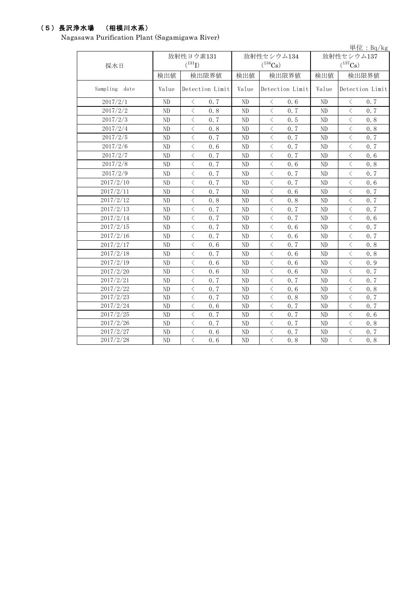## (5)長沢浄水場 (相模川水系)

Nagasawa Purification Plant (Sagamigawa River)

|               |                |                  |                |                   |                | 単位: $Bq/kg$                                     |  |
|---------------|----------------|------------------|----------------|-------------------|----------------|-------------------------------------------------|--|
|               |                | 放射性ヨウ素131        |                | 放射性セシウム134        | 放射性セシウム137     |                                                 |  |
| 採水日           |                | $(^{131}I)$      |                | $(^{134}Cs)$      | $(^{137}Cs)$   |                                                 |  |
|               | 検出値            | 検出限界値            | 検出値            | 検出限界値             | 検出値            | 検出限界値                                           |  |
| Sampling date | Value          | Detection Limit  | Value          | Detection Limit   | Value          | Detection Limit                                 |  |
| 2017/2/1      | N <sub>D</sub> | $\langle$<br>0.7 | ND.            | $\langle$<br>0.6  | N <sub>D</sub> | $\langle$<br>0.7                                |  |
| 2017/2/2      | ND             | $\langle$<br>0.8 | N <sub>D</sub> | $\langle$<br>0.7  | N <sub>D</sub> | $\langle$<br>0.7                                |  |
| 2017/2/3      | ND             | $\langle$<br>0.7 | N <sub>D</sub> | 0.5<br>$\langle$  | N <sub>D</sub> | $\langle$<br>0.8                                |  |
| 2017/2/4      | ND             | $\langle$<br>0.8 | ND             | $\langle$<br>0.7  | ND             | $\langle$<br>0.8                                |  |
| 2017/2/5      | ND             | $\langle$<br>0.7 | N <sub>D</sub> | $\langle$<br>0.7  | N <sub>D</sub> | $\langle$<br>0.7                                |  |
| 2017/2/6      | ND             | $\langle$<br>0.6 | ND             | $\langle$<br>0.7  | N <sub>D</sub> | $\langle$<br>0.7                                |  |
| 2017/2/7      | ND             | $\langle$<br>0.7 | N <sub>D</sub> | $\langle$<br>0.7  | N <sub>D</sub> | $\overline{\left\langle \right\rangle }$<br>0.6 |  |
| 2017/2/8      | ND             | $\langle$<br>0.7 | N <sub>D</sub> | $\langle$<br>0.6  | ND             | $\langle$<br>0.8                                |  |
| 2017/2/9      | ND             | $\langle$<br>0.7 | ND             | $\langle$<br>0.7  | N <sub>D</sub> | $\langle$<br>0.7                                |  |
| 2017/2/10     | ND             | $\langle$<br>0.7 | ND             | $\langle$<br>0.7  | N <sub>D</sub> | $\,<\,$<br>0.6                                  |  |
| 2017/2/11     | ND             | $\langle$<br>0.7 | N <sub>D</sub> | $\langle$<br>0, 6 | N <sub>D</sub> | $\langle$<br>0.7                                |  |
| 2017/2/12     | ND             | $\langle$<br>0.8 | N <sub>D</sub> | $\langle$<br>0.8  | N <sub>D</sub> | $\langle$<br>0.7                                |  |
| 2017/2/13     | ND             | $\langle$<br>0.7 | N <sub>D</sub> | $\langle$<br>0.7  | N <sub>D</sub> | $\langle$<br>0.7                                |  |
| 2017/2/14     | ND             | 0.7<br>$\langle$ | ND             | 0.7<br>$\langle$  | N <sub>D</sub> | $\langle$<br>0.6                                |  |
| 2017/2/15     | ND             | $\langle$<br>0.7 | N <sub>D</sub> | $\langle$<br>0.6  | N <sub>D</sub> | $\langle$<br>0.7                                |  |
| 2017/2/16     | ND             | $\langle$<br>0.7 | ND             | $\langle$<br>0.6  | N <sub>D</sub> | $\langle$<br>0.7                                |  |
| 2017/2/17     | ND             | $\langle$<br>0.6 | ND             | $\langle$<br>0.7  | N <sub>D</sub> | $\overline{\left\langle \right\rangle }$<br>0.8 |  |
| 2017/2/18     | ND             | $\, <\,$<br>0.7  | ND             | $\lt$<br>0.6      | N <sub>D</sub> | $\, <\,$<br>0.8                                 |  |
| 2017/2/19     | ND             | $\langle$<br>0.6 | ND             | $\lt$<br>0.6      | N <sub>D</sub> | $\, <\,$<br>0.9                                 |  |
| 2017/2/20     | ND             | $\langle$<br>0.6 | ND             | $\langle$<br>0.6  | ND             | $\langle$<br>0.7                                |  |
| 2017/2/21     | ND             | $\,$ $\,$<br>0.7 | ND             | $\langle$<br>0.7  | ND             | $\langle$<br>0.7                                |  |
| 2017/2/22     | ND             | $\,<\,$<br>0.7   | N <sub>D</sub> | $\lt$<br>0.6      | ND             | $\,<\,$<br>0.8                                  |  |
| 2017/2/23     | ND             | $\langle$<br>0.7 | ND             | $\langle$<br>0.8  | ND             | $\langle$<br>0.7                                |  |
| 2017/2/24     | ND             | $\langle$<br>0.6 | ND             | $\langle$<br>0.7  | ND             | $\langle$<br>0.7                                |  |
| 2017/2/25     | ND             | $\langle$<br>0.7 | ND             | $\langle$<br>0.7  | N <sub>D</sub> | $\langle$<br>0.6                                |  |
| 2017/2/26     | ${\rm ND}$     | $\lt$<br>0.7     | ND             | $\lt$<br>0.7      | ${\rm ND}$     | $\lt$<br>0.8                                    |  |
| 2017/2/27     | ND             | $\lt$<br>0.6     | ND             | $\lt$<br>0.7      | N <sub>D</sub> | $\, <\,$<br>0.7                                 |  |
| 2017/2/28     | ND             | $\langle$<br>0.6 | N <sub>D</sub> | $\langle$<br>0.8  | N <sub>D</sub> | $\langle$<br>0.8                                |  |